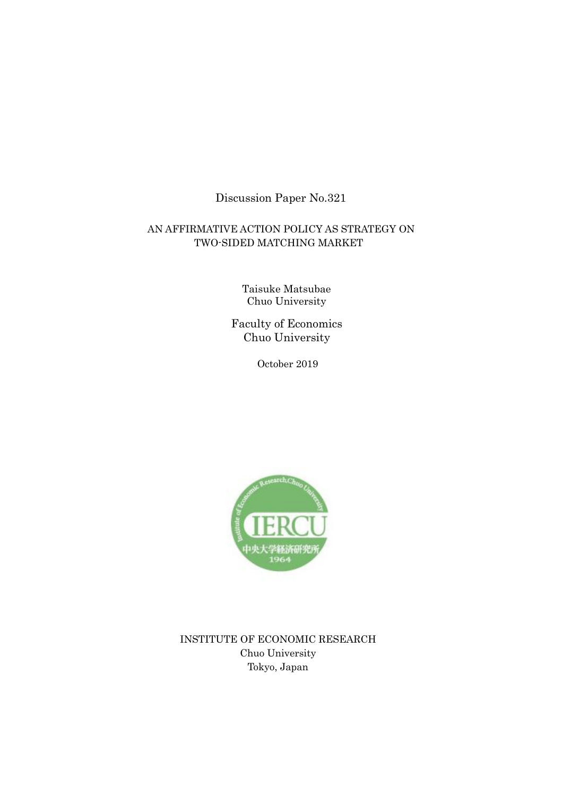# Discussion Paper No.321

## AN AFFIRMATIVE ACTION POLICY AS STRATEGY ON TWO-SIDED MATCHING MARKET

Taisuke Matsubae Chuo University

Faculty of Economics Chuo University

October 2019



INSTITUTE OF ECONOMIC RESEARCH Chuo University Tokyo, Japan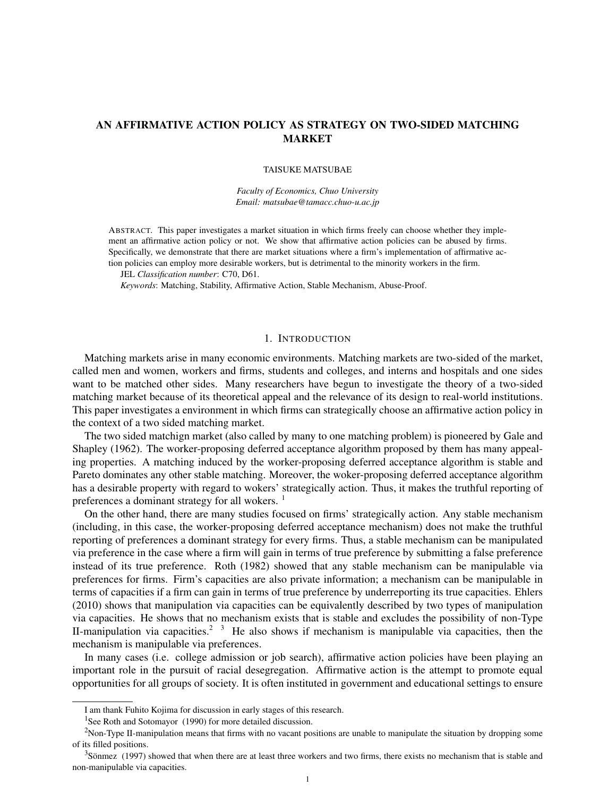## AN AFFIRMATIVE ACTION POLICY AS STRATEGY ON TWO-SIDED MATCHING MARKET

#### TAISUKE MATSUBAE

*Faculty of Economics, Chuo University Email: matsubae@tamacc.chuo-u.ac.jp*

ABSTRACT. This paper investigates a market situation in which firms freely can choose whether they implement an affirmative action policy or not. We show that affirmative action policies can be abused by firms. Specifically, we demonstrate that there are market situations where a firm's implementation of affirmative action policies can employ more desirable workers, but is detrimental to the minority workers in the firm.

JEL *Classification number*: C70, D61.

*Keywords*: Matching, Stability, Affirmative Action, Stable Mechanism, Abuse-Proof.

#### 1. INTRODUCTION

Matching markets arise in many economic environments. Matching markets are two-sided of the market, called men and women, workers and firms, students and colleges, and interns and hospitals and one sides want to be matched other sides. Many researchers have begun to investigate the theory of a two-sided matching market because of its theoretical appeal and the relevance of its design to real-world institutions. This paper investigates a environment in which firms can strategically choose an affirmative action policy in the context of a two sided matching market.

The two sided matchign market (also called by many to one matching problem) is pioneered by Gale and Shapley (1962). The worker-proposing deferred acceptance algorithm proposed by them has many appealing properties. A matching induced by the worker-proposing deferred acceptance algorithm is stable and Pareto dominates any other stable matching. Moreover, the woker-proposing deferred acceptance algorithm has a desirable property with regard to wokers' strategically action. Thus, it makes the truthful reporting of preferences a dominant strategy for all wokers.  $\frac{1}{1}$ 

On the other hand, there are many studies focused on firms' strategically action. Any stable mechanism (including, in this case, the worker-proposing deferred acceptance mechanism) does not make the truthful reporting of preferences a dominant strategy for every firms. Thus, a stable mechanism can be manipulated via preference in the case where a firm will gain in terms of true preference by submitting a false preference instead of its true preference. Roth (1982) showed that any stable mechanism can be manipulable via preferences for firms. Firm's capacities are also private information; a mechanism can be manipulable in terms of capacities if a firm can gain in terms of true preference by underreporting its true capacities. Ehlers (2010) shows that manipulation via capacities can be equivalently described by two types of manipulation via capacities. He shows that no mechanism exists that is stable and excludes the possibility of non-Type II-manipulation via capacities.<sup>2</sup>  $\frac{3}{3}$  He also shows if mechanism is manipulable via capacities, then the mechanism is manipulable via preferences.

In many cases (i.e. college admission or job search), affirmative action policies have been playing an important role in the pursuit of racial desegregation. Affirmative action is the attempt to promote equal opportunities for all groups of society. It is often instituted in government and educational settings to ensure

I am thank Fuhito Kojima for discussion in early stages of this research.

<sup>&</sup>lt;sup>1</sup>See Roth and Sotomayor (1990) for more detailed discussion.

 $2$ Non-Type II-manipulation means that firms with no vacant positions are unable to manipulate the situation by dropping some of its filled positions.

 $3$ Sönmez (1997) showed that when there are at least three workers and two firms, there exists no mechanism that is stable and non-manipulable via capacities.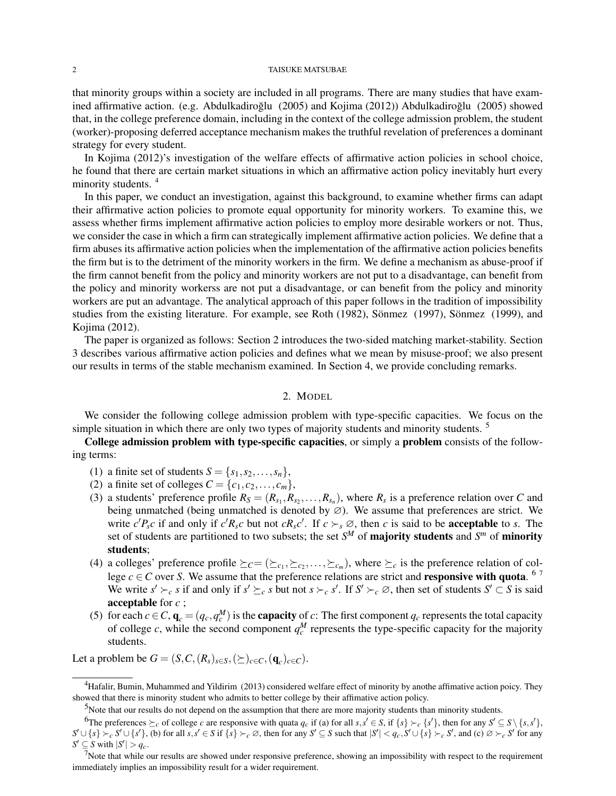#### 2 TAISUKE MATSUBAE

that minority groups within a society are included in all programs. There are many studies that have examined affirmative action. (e.g. Abdulkadiroğlu  $(2005)$  and Kojima  $(2012)$ ) Abdulkadiroğlu  $(2005)$  showed that, in the college preference domain, including in the context of the college admission problem, the student (worker)-proposing deferred acceptance mechanism makes the truthful revelation of preferences a dominant strategy for every student.

In Kojima (2012)'s investigation of the welfare effects of affirmative action policies in school choice, he found that there are certain market situations in which an affirmative action policy inevitably hurt every minority students.<sup>4</sup>

In this paper, we conduct an investigation, against this background, to examine whether firms can adapt their affirmative action policies to promote equal opportunity for minority workers. To examine this, we assess whether firms implement affirmative action policies to employ more desirable workers or not. Thus, we consider the case in which a firm can strategically implement affirmative action policies. We define that a firm abuses its affirmative action policies when the implementation of the affirmative action policies benefits the firm but is to the detriment of the minority workers in the firm. We define a mechanism as abuse-proof if the firm cannot benefit from the policy and minority workers are not put to a disadvantage, can benefit from the policy and minority workerss are not put a disadvantage, or can benefit from the policy and minority workers are put an advantage. The analytical approach of this paper follows in the tradition of impossibility studies from the existing literature. For example, see Roth (1982), Sönmez (1997), Sönmez (1999), and Kojima (2012).

The paper is organized as follows: Section 2 introduces the two-sided matching market-stability. Section 3 describes various affirmative action policies and defines what we mean by misuse-proof; we also present our results in terms of the stable mechanism examined. In Section 4, we provide concluding remarks.

### 2. MODEL

We consider the following college admission problem with type-specific capacities. We focus on the simple situation in which there are only two types of majority students and minority students.  $\frac{5}{100}$ 

College admission problem with type-specific capacities, or simply a problem consists of the following terms:

- (1) a finite set of students  $S = \{s_1, s_2, \ldots, s_n\}$ ,
- (2) a finite set of colleges  $C = \{c_1, c_2, \ldots, c_m\}$ ,
- (3) a students' preference profile  $R_S = (R_{s_1}, R_{s_2}, \ldots, R_{s_n})$ , where  $R_s$  is a preference relation over *C* and being unmatched (being unmatched is denoted by ∅). We assume that preferences are strict. We write  $c'P_{s}c$  if and only if  $c'R_{s}c$  but not  $cR_{s}c'$ . If  $c \succ_{s} \emptyset$ , then c is said to be **acceptable** to s. The set of students are partitioned to two subsets; the set  $S^M$  of **majority students** and  $S^m$  of **minority** students;
- (4) a colleges' preference profile  $\succeq_C = (\succeq_{c_1}, \succeq_{c_2}, \ldots, \succeq_{c_m})$ , where  $\succeq_c$  is the preference relation of college  $c \in C$  over *S*. We assume that the preference relations are strict and **responsive with quota**. <sup>67</sup> We write  $s' \succ_c s$  if and only if  $s' \succeq_c s$  but not  $s \succ_c s'$ . If  $S' \succ_c \varnothing$ , then set of students  $S' \subset S$  is said acceptable for *c* ;
- (5) for each  $c \in C$ ,  $\mathbf{q}_c = (q_c, q_c^M)$  is the **capacity** of *c*: The first component  $q_c$  represents the total capacity of college *c*, while the second component  $q_c^M$  represents the type-specific capacity for the majority students.

Let a problem be  $G = (S, C, (R_s)_{s \in S}, (\succeq)_{c \in C}, (\mathbf{q}_c)_{c \in C})$ .

<sup>&</sup>lt;sup>4</sup>Hafalir, Bumin, Muhammed and Yildirim (2013) considered welfare effect of minority by anothe affimative action poicy. They showed that there is minority student who admits to better college by their affimative action policy.

 $<sup>5</sup>$ Note that our results do not depend on the assumption that there are more majority students than minority students.</sup>

<sup>&</sup>lt;sup>6</sup>The preferences  $\succeq_c$  of college c are responsive with quata  $q_c$  if (a) for all  $s, s' \in S$ , if  $\{s\} \succ_c \{s'\}$ , then for any  $S' \subseteq S \setminus \{s, s'\}$ ,  $S' \cup \{s\} \succ_c S' \cup \{s'\},$  (b) for all  $s, s' \in S$  if  $\{s\} \succ_c \varnothing$ , then for any  $S' \subseteq S$  such that  $|S'| < q_c, S' \cup \{s\} \succ_c S'$ , and (c)  $\varnothing \succ_c S'$  for any  $S' \subseteq S$  with  $|S'| > q_c$ .

<sup>&</sup>lt;sup>7</sup>Note that while our results are showed under responsive preference, showing an impossibility with respect to the requirement immediately implies an impossibility result for a wider requirement.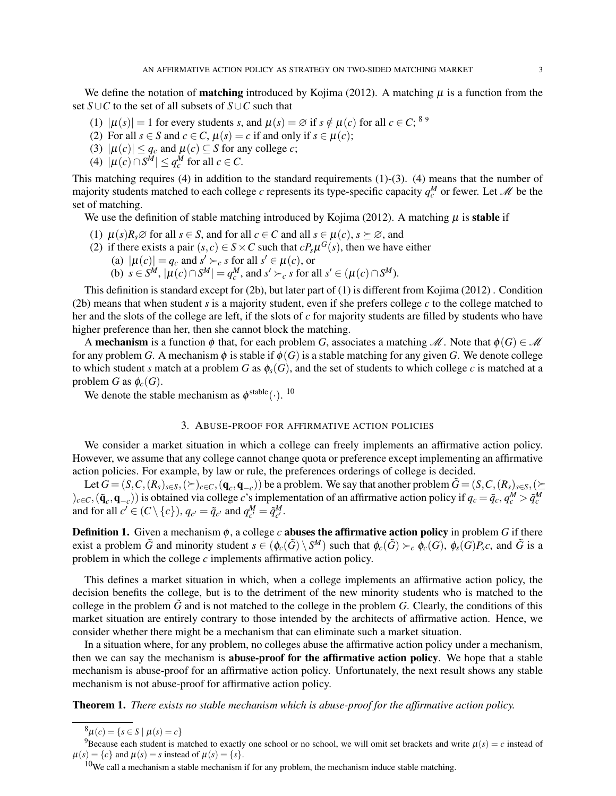We define the notation of **matching** introduced by Kojima (2012). A matching  $\mu$  is a function from the set *S∪C* to the set of all subsets of *S∪C* such that

- (1)  $|\mu(s)| = 1$  for every students *s*, and  $\mu(s) = \emptyset$  if  $s \notin \mu(c)$  for all  $c \in C$ ; <sup>8 9</sup>
- (2) For all  $s \in S$  and  $c \in C$ ,  $\mu(s) = c$  if and only if  $s \in \mu(c)$ ;
- (3)  $|\mu(c)| \leq q_c$  and  $\mu(c) \subseteq S$  for any college *c*;
- (4)  $|\mu(c) \cap S^M|$  ≤  $q_c^M$  for all  $c \in C$ .

This matching requires (4) in addition to the standard requirements (1)-(3). (4) means that the number of majority students matched to each college *c* represents its type-specific capacity  $q_c^M$  or fewer. Let  $\mathcal M$  be the set of matching.

We use the definition of stable matching introduced by Kojima (2012). A matching  $\mu$  is **stable** if

- (1)  $\mu(s)R_s \varnothing$  for all  $s \in S$ , and for all  $c \in C$  and all  $s \in \mu(c)$ ,  $s \succeq \varnothing$ , and
- (2) if there exists a pair  $(s, c) \in S \times C$  such that  $cP_s\mu^G(s)$ , then we have either
	- (a)  $|\mu(c)| = q_c$  and  $s' \succ_c s$  for all  $s' \in \mu(c)$ , or (b)  $s \in S^M$ ,  $|\mu(c) \cap S^M| = q_c^M$ , and  $s' \succ_c s$  for all  $s' \in (\mu(c) \cap S^M)$ .

This definition is standard except for (2b), but later part of (1) is different from Kojima (2012) . Condition (2b) means that when student *s* is a majority student, even if she prefers college *c* to the college matched to her and the slots of the college are left, if the slots of *c* for majority students are filled by students who have higher preference than her, then she cannot block the matching.

A **mechanism** is a function  $\phi$  that, for each problem *G*, associates a matching *M*. Note that  $\phi(G) \in \mathcal{M}$ for any problem *G*. A mechanism  $\phi$  is stable if  $\phi(G)$  is a stable matching for any given *G*. We denote college to which student *s* match at a problem *G* as  $\phi_s(G)$ , and the set of students to which college *c* is matched at a problem *G* as  $\phi_c(G)$ .

We denote the stable mechanism as  $\phi^{\text{stable}}(\cdot)$ . <sup>10</sup>

### 3. ABUSE-PROOF FOR AFFIRMATIVE ACTION POLICIES

We consider a market situation in which a college can freely implements an affirmative action policy. However, we assume that any college cannot change quota or preference except implementing an affirmative action policies. For example, by law or rule, the preferences orderings of college is decided.

Let  $G = (S, C, (R_s)_{s \in S}, (\succeq)_{c \in C}, (\mathbf{q}_c, \mathbf{q}_{-c}))$  be a problem. We say that another problem  $\tilde{G} = (S, C, (R_s)_{s \in S}, (\succeq)_{s \in S})$  $(c_0)_{c \in C}, (\tilde{\mathbf{q}}_c, \mathbf{q}_{-c}))$  is obtained via college c's implementation of an affirmative action policy if  $q_c = \tilde{q}_c, q_c^M > \tilde{q}_c^M$ and for all  $c' \in (C \setminus \{c\})$ ,  $q_{c'} = \tilde{q}_{c'}$  and  $q_{c'}^M = \tilde{q}_{c'}^M$ .

Definition 1. Given a mechanism ϕ, a college *c* abuses the affirmative action policy in problem *G* if there exist a problem  $\tilde{G}$  and minority student  $s\in(\phi_c(\tilde{G})\setminus S^M)$  such that  $\phi_c(\tilde{G})\succ_c\phi_c(G),\phi_s(G)P_sc,$  and  $\tilde{G}$  is a problem in which the college *c* implements affirmative action policy.

This defines a market situation in which, when a college implements an affirmative action policy, the decision benefits the college, but is to the detriment of the new minority students who is matched to the college in the problem  $\tilde{G}$  and is not matched to the college in the problem *G*. Clearly, the conditions of this market situation are entirely contrary to those intended by the architects of affirmative action. Hence, we consider whether there might be a mechanism that can eliminate such a market situation.

In a situation where, for any problem, no colleges abuse the affirmative action policy under a mechanism, then we can say the mechanism is abuse-proof for the affirmative action policy. We hope that a stable mechanism is abuse-proof for an affirmative action policy. Unfortunately, the next result shows any stable mechanism is not abuse-proof for affirmative action policy.

Theorem 1. *There exists no stable mechanism which is abuse-proof for the affirmative action policy.*

 $^{8}\mu(c) = \{s \in S \mid \mu(s) = c\}$ 

<sup>&</sup>lt;sup>9</sup>Because each student is matched to exactly one school or no school, we will omit set brackets and write  $\mu(s) = c$  instead of  $\mu(s) = \{c\}$  and  $\mu(s) = s$  instead of  $\mu(s) = \{s\}.$ 

 $10$ We call a mechanism a stable mechanism if for any problem, the mechanism induce stable matching.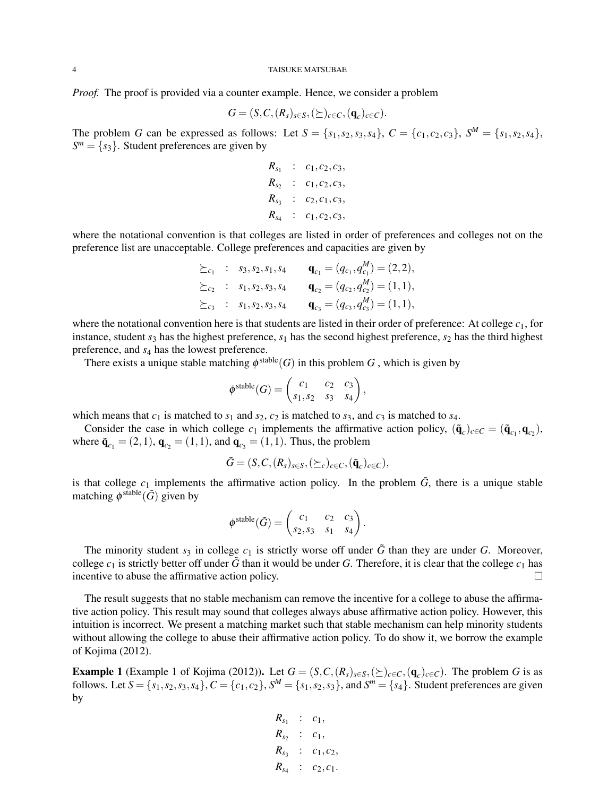*Proof.* The proof is provided via a counter example. Hence, we consider a problem

$$
G = (S, C, (R_s)_{s \in S}, (\succeq)_{c \in C}, (\mathbf{q}_c)_{c \in C}).
$$

The problem G can be expressed as follows: Let  $S = \{s_1, s_2, s_3, s_4\}$ ,  $C = \{c_1, c_2, c_3\}$ ,  $S^M = \{s_1, s_2, s_4\}$ ,  $S^m = \{s_3\}$ . Student preferences are given by

> $R_{s_1}$  :  $c_1, c_2, c_3$  $R_{s_2}$  :  $c_1, c_2, c_3$  $R_{s_3}$  :  $c_2, c_1, c_3$  $R_{s_4}$  :  $c_1, c_2, c_3$

where the notational convention is that colleges are listed in order of preferences and colleges not on the preference list are unacceptable. College preferences and capacities are given by

$$
\begin{aligned}\n\succeq_{c_1} & : s_3, s_2, s_1, s_4 & \mathbf{q}_{c_1} & = (q_{c_1}, q_{c_1}^M) = (2, 2), \\
\succeq_{c_2} & : s_1, s_2, s_3, s_4 & \mathbf{q}_{c_2} & = (q_{c_2}, q_{c_2}^M) = (1, 1), \\
\succeq_{c_3} & : s_1, s_2, s_3, s_4 & \mathbf{q}_{c_3} & = (q_{c_3}, q_{c_3}^M) = (1, 1),\n\end{aligned}
$$

where the notational convention here is that students are listed in their order of preference: At college  $c<sub>1</sub>$ , for instance, student  $s_3$  has the highest preference,  $s_1$  has the second highest preference,  $s_2$  has the third highest preference, and *s*<sup>4</sup> has the lowest preference.

There exists a unique stable matching  $\phi^{\text{stable}}(G)$  in this problem *G*, which is given by

$$
\phi^{\text{stable}}(G) = \begin{pmatrix} c_1 & c_2 & c_3 \\ s_1, s_2 & s_3 & s_4 \end{pmatrix},
$$

which means that  $c_1$  is matched to  $s_1$  and  $s_2$ ,  $c_2$  is matched to  $s_3$ , and  $c_3$  is matched to  $s_4$ .

Consider the case in which college  $c_1$  implements the affirmative action policy,  $(\tilde{\mathbf{q}}_c)_{c \in C} = (\tilde{\mathbf{q}}_{c_1}, \mathbf{q}_{c_2})$ , where  $\tilde{\bf q}_{c_1} = (2,1)$ ,  ${\bf q}_{c_2} = (1,1)$ , and  ${\bf q}_{c_3} = (1,1)$ . Thus, the problem

$$
\tilde{G} = (S, C, (R_s)_{s \in S}, (\succeq_c)_{c \in C}, (\tilde{\mathbf{q}}_c)_{c \in C}),
$$

is that college  $c_1$  implements the affirmative action policy. In the problem  $\tilde{G}$ , there is a unique stable matching  $\phi^{\text{stable}}(\tilde{G})$  given by

$$
\phi^{\text{stable}}(\tilde{G}) = \begin{pmatrix} c_1 & c_2 & c_3 \\ s_2, s_3 & s_1 & s_4 \end{pmatrix}.
$$

The minority student  $s_3$  in college  $c_1$  is strictly worse off under  $\tilde{G}$  than they are under  $G$ . Moreover, college  $c_1$  is strictly better off under  $\tilde{G}$  than it would be under *G*. Therefore, it is clear that the college  $c_1$  has incentive to abuse the affirmative action policy.  $\Box$ 

The result suggests that no stable mechanism can remove the incentive for a college to abuse the affirmative action policy. This result may sound that colleges always abuse affirmative action policy. However, this intuition is incorrect. We present a matching market such that stable mechanism can help minority students without allowing the college to abuse their affirmative action policy. To do show it, we borrow the example of Kojima (2012).

**Example 1** (Example 1 of Kojima (2012)). Let  $G = (S, C, (R_s)_{s \in S}, (\succeq)_{c \in C}, (\mathbf{q}_c)_{c \in C})$ . The problem G is as follows. Let  $S = \{s_1, s_2, s_3, s_4\}$ ,  $C = \{c_1, c_2\}$ ,  $S^M = \{s_1, s_2, s_3\}$ , and  $S^m = \{s_4\}$ . Student preferences are given by

$$
R_{s_1} : c_1,
$$
  
\n
$$
R_{s_2} : c_1,
$$
  
\n
$$
R_{s_3} : c_1, c_2,
$$
  
\n
$$
R_{s_4} : c_2, c_1.
$$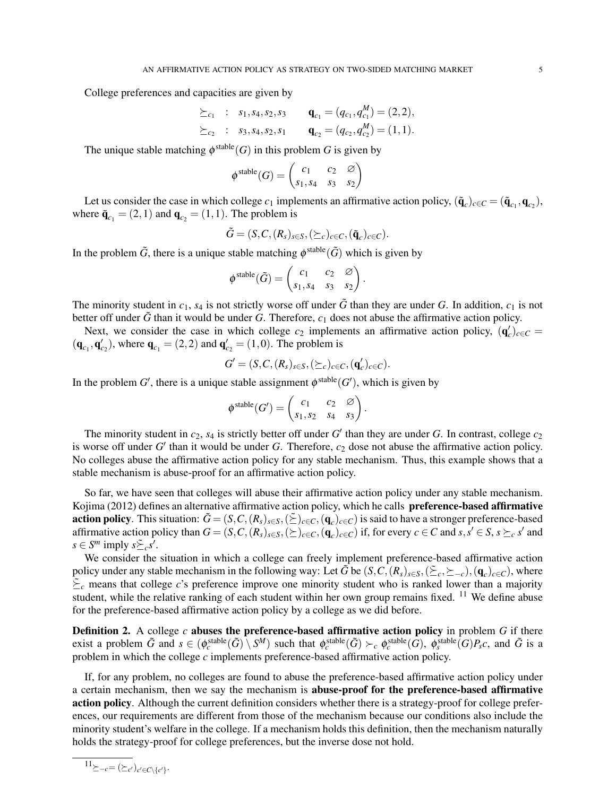College preferences and capacities are given by

$$
\geq_{c_1} : s_1, s_4, s_2, s_3 \qquad \mathbf{q}_{c_1} = (q_{c_1}, q_{c_1}^M) = (2, 2), \n\geq_{c_2} : s_3, s_4, s_2, s_1 \qquad \mathbf{q}_{c_2} = (q_{c_2}, q_{c_2}^M) = (1, 1).
$$

The unique stable matching  $\phi^{\text{stable}}(G)$  in this problem *G* is given by

$$
\phi^{\text{stable}}(G) = \begin{pmatrix} c_1 & c_2 & \varnothing \\ s_1, s_4 & s_3 & s_2 \end{pmatrix}
$$

Let us consider the case in which college  $c_1$  implements an affirmative action policy,  $(\tilde{\mathbf{q}}_c)_{c \in C} = (\tilde{\mathbf{q}}_{c_1}, \mathbf{q}_{c_2})$ , where  $\tilde{\mathbf{q}}_{c_1} = (2, 1)$  and  $\mathbf{q}_{c_2} = (1, 1)$ . The problem is

$$
\tilde{G} = (S, C, (R_s)_{s \in S}, (\succeq_c)_{c \in C}, (\tilde{\mathbf{q}}_c)_{c \in C}).
$$

In the problem  $\tilde{G}$ , there is a unique stable matching  $\phi^{\text{stable}}(\tilde{G})$  which is given by

$$
\phi^{\text{stable}}(\tilde{G}) = \begin{pmatrix} c_1 & c_2 & \varnothing \\ s_1, s_4 & s_3 & s_2 \end{pmatrix}.
$$

The minority student in  $c_1$ ,  $s_4$  is not strictly worse off under  $\tilde{G}$  than they are under *G*. In addition,  $c_1$  is not better off under  $\tilde{G}$  than it would be under  $G$ . Therefore,  $c_1$  does not abuse the affirmative action policy.

Next, we consider the case in which college  $c_2$  implements an affirmative action policy,  $(q'_c)_{c \in C}$  =  $({\bf q}_{c_1}, {\bf q}_{c_2}')$ , where  ${\bf q}_{c_1} = (2, 2)$  and  ${\bf q}_{c_2}' = (1, 0)$ . The problem is

$$
G' = (S, C, (R_s)_{s \in S}, (\succeq_c)_{c \in C}, (\mathbf{q}'_c)_{c \in C}).
$$

In the problem  $G'$ , there is a unique stable assignment  $\phi^{\text{stable}}(G')$ , which is given by

$$
\phi^{\text{stable}}(G') = \begin{pmatrix} c_1 & c_2 & \varnothing \\ s_1, s_2 & s_4 & s_3 \end{pmatrix}.
$$

The minority student in  $c_2$ ,  $s_4$  is strictly better off under  $G'$  than they are under  $G$ . In contrast, college  $c_2$ is worse off under *G ′* than it would be under *G*. Therefore, *c*<sup>2</sup> dose not abuse the affirmative action policy. No colleges abuse the affirmative action policy for any stable mechanism. Thus, this example shows that a stable mechanism is abuse-proof for an affirmative action policy.

So far, we have seen that colleges will abuse their affirmative action policy under any stable mechanism. Kojima (2012) defines an alternative affirmative action policy, which he calls preference-based affirmative **action policy**. This situation:  $\tilde{G} = (S, C, (R_s)_{s \in S}, (\tilde{\Sigma})_{c \in C}, (\mathbf{q}_c)_{c \in C})$  is said to have a stronger preference-based affirmative action policy than  $G = (S, C, (R_s)_{s \in S}, (\succeq)_{c \in C}, (\mathbf{q}_c)_{c \in C})$  if, for every  $c \in C$  and  $s, s' \in S$ ,  $s \succeq_c s'$  and  $s \in S^m$  imply  $s \leq c s'$ .

We consider the situation in which a college can freely implement preference-based affirmative action policy under any stable mechanism in the following way: Let  $\tilde{G}$  be  $(S, C, (R_s)_{s \in S}, (\tilde{\ge}_c, \ge_{-c}), (\mathbf{q}_c)_{c \in C})$ , where  $\tilde{\Sigma}_c$  means that college *c*'s preference improve one minority student who is ranked lower than a majority student, while the relative ranking of each student within her own group remains fixed. <sup>11</sup> We define abuse for the preference-based affirmative action policy by a college as we did before.

Definition 2. A college *c* abuses the preference-based affirmative action policy in problem *G* if there exist a problem  $\tilde{G}$  and  $s \in (\phi_c^{\text{stable}}(\tilde{G}) \setminus S^M)$  such that  $\phi_c^{\text{stable}}(\tilde{G}) \succ_c \phi_c^{\text{stable}}(G)$ ,  $\phi_s^{\text{stable}}(G)P_s c$ , and  $\tilde{G}$  is a problem in which the college *c* implements preference-based affirmative action policy.

If, for any problem, no colleges are found to abuse the preference-based affirmative action policy under a certain mechanism, then we say the mechanism is abuse-proof for the preference-based affirmative action policy. Although the current definition considers whether there is a strategy-proof for college preferences, our requirements are different from those of the mechanism because our conditions also include the minority student's welfare in the college. If a mechanism holds this definition, then the mechanism naturally holds the strategy-proof for college preferences, but the inverse dose not hold.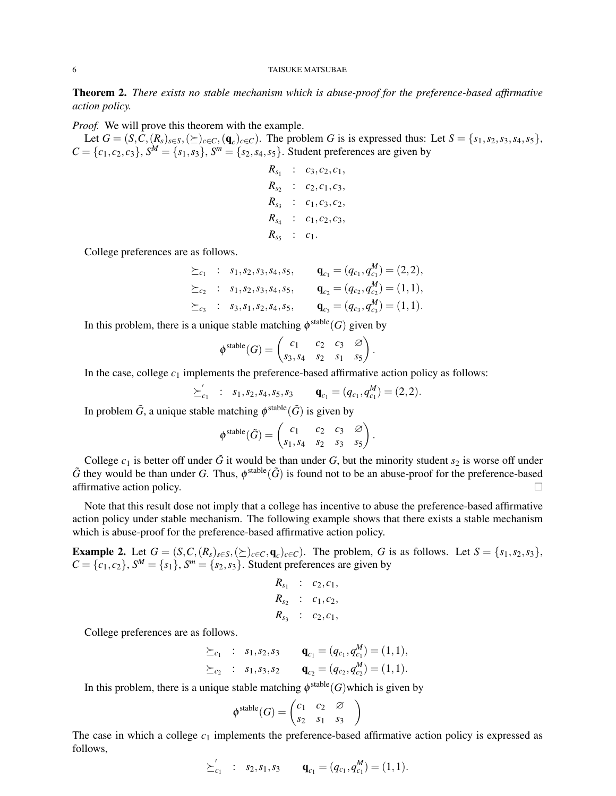Theorem 2. *There exists no stable mechanism which is abuse-proof for the preference-based affirmative action policy.*

*Proof.* We will prove this theorem with the example.

Let  $G = (S, C, (R_s)_{s \in S}, (\succeq)_{c \in C}, (q_c)_{c \in C})$ . The problem G is is expressed thus: Let  $S = \{s_1, s_2, s_3, s_4, s_5\}$ ,  $C = \{c_1, c_2, c_3\}$ ,  $S^M = \{s_1, s_3\}$ ,  $S^m = \{s_2, s_4, s_5\}$ . Student preferences are given by

> $R_{s_1}$  :  $c_3$ ,  $c_2$ ,  $c_1$ ,  $R_{s_2}$  :  $c_2, c_1, c_3$  $R_{s_3}$  :  $c_1, c_3, c_2$  $R_{s_4}$  :  $c_1, c_2, c_3$  $R_{s_5}$  :  $c_1$ .

College preferences are as follows.

$$
\begin{array}{rcl}\n\succeq_{c_1} & : & s_1, s_2, s_3, s_4, s_5, \\
\succeq_{c_2} & : & s_1, s_2, s_3, s_4, s_5, \\
\succeq_{c_3} & : & s_3, s_1, s_2, s_4, s_5, \\
\succeq_{c_3} & : & s_3, s_1, s_2, s_4, s_5, \\
\mathbf{q}_{c_3} = (q_{c_3}, q_{c_3}^M) = (1, 1).\n\end{array}
$$

In this problem, there is a unique stable matching  $\phi^{\text{stable}}(G)$  given by

$$
\phi^{\text{stable}}(G) = \begin{pmatrix} c_1 & c_2 & c_3 & \varnothing \\ s_3, s_4 & s_2 & s_1 & s_5 \end{pmatrix}.
$$

In the case, college  $c_1$  implements the preference-based affirmative action policy as follows:

*⪰ ′*  $\mathbf{q}_{c_1} = (q_{c_1}, q_{c_1}^M) = (2, 2).$ 

In problem  $\tilde{G}$ , a unique stable matching  $\phi^{\text{stable}}(\tilde{G})$  is given by

$$
\phi^{\text{stable}}(\tilde{G}) = \begin{pmatrix} c_1 & c_2 & c_3 & \varnothing \\ s_1, s_4 & s_2 & s_3 & s_5 \end{pmatrix}.
$$

College  $c_1$  is better off under  $\tilde{G}$  it would be than under  $G$ , but the minority student  $s_2$  is worse off under  $\tilde{G}$  they would be than under *G*. Thus,  $\phi^{\text{stable}}(\tilde{G})$  is found not to be an abuse-proof for the preference-based affirmative action policy.  $\Box$ 

Note that this result dose not imply that a college has incentive to abuse the preference-based affirmative action policy under stable mechanism. The following example shows that there exists a stable mechanism which is abuse-proof for the preference-based affirmative action policy.

**Example 2.** Let  $G = (S, C, (R_s)_{s \in S}, (\succeq)_{c \in C}, \mathbf{q}_c)_{c \in C})$ . The problem, G is as follows. Let  $S = \{s_1, s_2, s_3\}$ ,  $C = \{c_1, c_2\}$ ,  $S^M = \{s_1\}$ ,  $S^m = \{s_2, s_3\}$ . Student preferences are given by

$$
R_{s_1} : c_2, c_1, R_{s_2} : c_1, c_2, R_{s_3} : c_2, c_1,
$$

College preferences are as follows.

$$
\begin{aligned}\n\succeq_{c_1} & : s_1, s_2, s_3 & \mathbf{q}_{c_1} & = (q_{c_1}, q_{c_1}^M) = (1, 1), \\
\succeq_{c_2} & : s_1, s_3, s_2 & \mathbf{q}_{c_2} & = (q_{c_2}, q_{c_2}^M) = (1, 1).\n\end{aligned}
$$

In this problem, there is a unique stable matching  $\phi^{\text{stable}}(G)$  which is given by

$$
\phi^{\text{stable}}(G) = \begin{pmatrix} c_1 & c_2 & \varnothing \\ s_2 & s_1 & s_3 \end{pmatrix}
$$

The case in which a college  $c_1$  implements the preference-based affirmative action policy is expressed as follows,

$$
\succeq_{c_1}^{\prime} \; : \; s_2, s_1, s_3 \qquad \mathbf{q}_{c_1} = (q_{c_1}, q_{c_1}^M) = (1, 1).
$$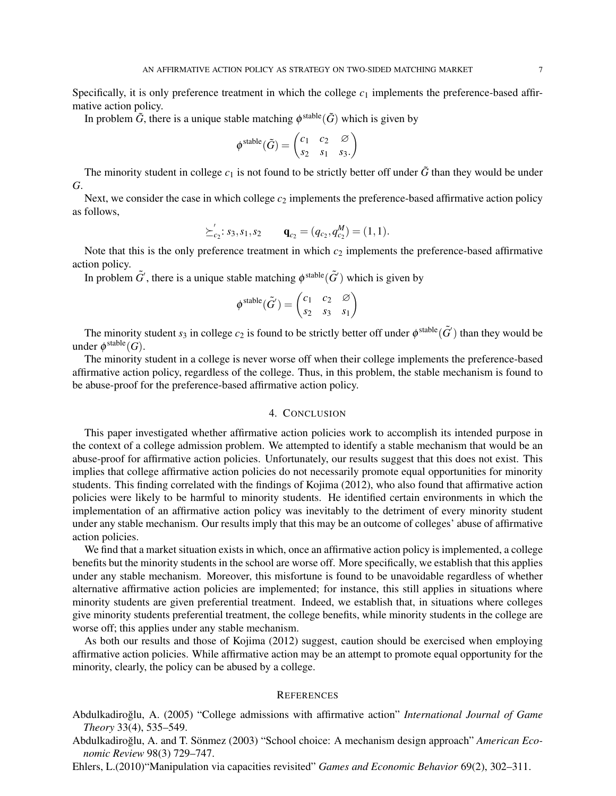Specifically, it is only preference treatment in which the college  $c_1$  implements the preference-based affirmative action policy.

In problem  $\tilde{G}$ , there is a unique stable matching  $\phi^{\text{stable}}(\tilde{G})$  which is given by

$$
\phi^{\text{stable}}(\tilde{G}) = \begin{pmatrix} c_1 & c_2 & \varnothing \\ s_2 & s_1 & s_3. \end{pmatrix}
$$

The minority student in college  $c_1$  is not found to be strictly better off under  $\tilde{G}$  than they would be under *G*.

Next, we consider the case in which college  $c_2$  implements the preference-based affirmative action policy as follows,

$$
\succeq_{c_2} ' : s_3, s_1, s_2 \qquad \mathbf{q}_{c_2} = (q_{c_2}, q_{c_2}^M) = (1, 1).
$$

Note that this is the only preference treatment in which *c*<sup>2</sup> implements the preference-based affirmative action policy.

In problem  $\tilde{G}'$ , there is a unique stable matching  $\phi^{\text{stable}}(\tilde{G}')$  which is given by

$$
\phi^{\text{stable}}(\tilde{G}') = \begin{pmatrix} c_1 & c_2 & \varnothing \\ s_2 & s_3 & s_1 \end{pmatrix}
$$

The minority student  $s_3$  in college  $c_2$  is found to be strictly better off under  $\phi^{\text{stable}}(\tilde{G}')$  than they would be under  $\phi^{\text{stable}}(G)$ .

The minority student in a college is never worse off when their college implements the preference-based affirmative action policy, regardless of the college. Thus, in this problem, the stable mechanism is found to be abuse-proof for the preference-based affirmative action policy.

## 4. CONCLUSION

This paper investigated whether affirmative action policies work to accomplish its intended purpose in the context of a college admission problem. We attempted to identify a stable mechanism that would be an abuse-proof for affirmative action policies. Unfortunately, our results suggest that this does not exist. This implies that college affirmative action policies do not necessarily promote equal opportunities for minority students. This finding correlated with the findings of Kojima (2012), who also found that affirmative action policies were likely to be harmful to minority students. He identified certain environments in which the implementation of an affirmative action policy was inevitably to the detriment of every minority student under any stable mechanism. Our results imply that this may be an outcome of colleges' abuse of affirmative action policies.

We find that a market situation exists in which, once an affirmative action policy is implemented, a college benefits but the minority students in the school are worse off. More specifically, we establish that this applies under any stable mechanism. Moreover, this misfortune is found to be unavoidable regardless of whether alternative affirmative action policies are implemented; for instance, this still applies in situations where minority students are given preferential treatment. Indeed, we establish that, in situations where colleges give minority students preferential treatment, the college benefits, while minority students in the college are worse off; this applies under any stable mechanism.

As both our results and those of Kojima (2012) suggest, caution should be exercised when employing affirmative action policies. While affirmative action may be an attempt to promote equal opportunity for the minority, clearly, the policy can be abused by a college.

#### **REFERENCES**

- Abdulkadiroglu, A. (2005) "College admissions with affirmative action" ˘ *International Journal of Game Theory* 33(4), 535–549.
- Abdulkadiroğlu, A. and T. Sönmez (2003) "School choice: A mechanism design approach" American Eco*nomic Review* 98(3) 729–747.
- Ehlers, L.(2010)"Manipulation via capacities revisited" *Games and Economic Behavior* 69(2), 302–311.